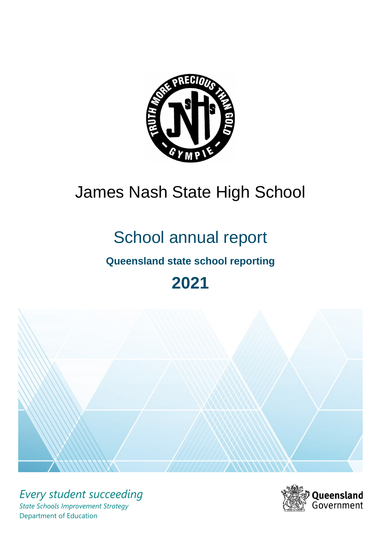

# James Nash State High School

# School annual report

# **Queensland state school reporting**

# **2021**



*Every student succeeding State Schools Improvement Strategy* Department of Education

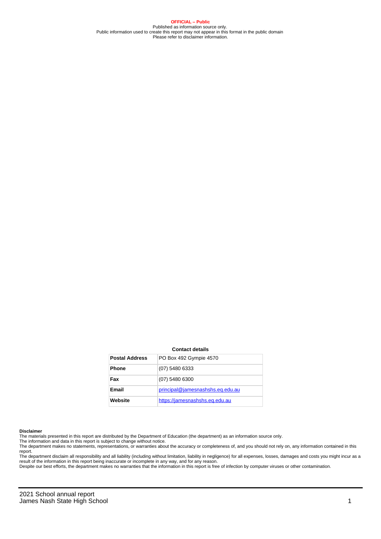**OFFICIAL – Public** Published as information source only. Public information used to create this report may not appear in this format in the public domain Please refer to disclaimer information.

#### **Contact details**

| <b>Postal Address</b> | PO Box 492 Gympie 4570           |
|-----------------------|----------------------------------|
| <b>Phone</b>          | (07) 5480 6333                   |
| Fax                   | (07) 5480 6300                   |
| Email                 | principal@jamesnashshs.eq.edu.au |
| Website               | https://jamesnashshs.eq.edu.au   |

#### **Disclaimer**

The materials presented in this report are distributed by the Department of Education (the department) as an information source only.

The information and data in this report is subject to change without notice.<br>The department makes no statements, representations, or warranties about the accuracy or completeness of, and you should not rely on, any informa report. The department disclaim all responsibility and all liability (including without limitation, liability in negligence) for all expenses, losses, damages and costs you might incur as a

result of the information in this report being inaccurate or incomplete in any way, and for any reason.

Despite our best efforts, the department makes no warranties that the information in this report is free of infection by computer viruses or other contamination.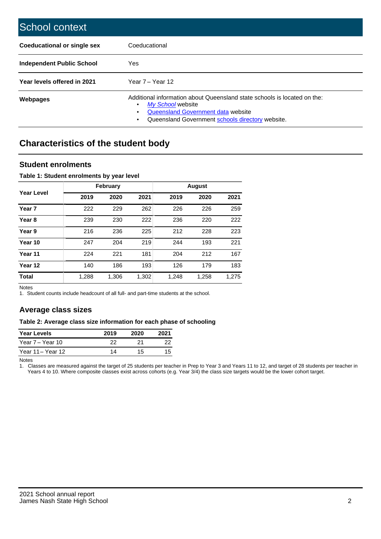| School context                     |                                                                                                                                                                                                   |
|------------------------------------|---------------------------------------------------------------------------------------------------------------------------------------------------------------------------------------------------|
| <b>Coeducational or single sex</b> | Coeducational                                                                                                                                                                                     |
| Independent Public School          | <b>Yes</b>                                                                                                                                                                                        |
| Year levels offered in 2021        | Year 7 – Year 12                                                                                                                                                                                  |
| Webpages                           | Additional information about Queensland state schools is located on the:<br>My School website<br>٠<br>Queensland Government data website<br>Queensland Government schools directory website.<br>٠ |

# **Characteristics of the student body**

## **Student enrolments**

## **Table 1: Student enrolments by year level**

|                   |       | <b>February</b> |       | <b>August</b> |       |       |  |
|-------------------|-------|-----------------|-------|---------------|-------|-------|--|
| <b>Year Level</b> | 2019  | 2020            | 2021  | 2019          | 2020  | 2021  |  |
| Year <sub>7</sub> | 222   | 229             | 262   | 226           | 226   | 259   |  |
| Year <sub>8</sub> | 239   | 230             | 222   | 236           | 220   | 222   |  |
| Year 9            | 216   | 236             | 225   | 212           | 228   | 223   |  |
| Year 10           | 247   | 204             | 219   | 244           | 193   | 221   |  |
| Year 11           | 224   | 221             | 181   | 204           | 212   | 167   |  |
| Year 12           | 140   | 186             | 193   | 126           | 179   | 183   |  |
| <b>Total</b>      | 1,288 | 1,306           | 1,302 | 1,248         | 1,258 | 1,275 |  |

Notes

1. Student counts include headcount of all full- and part-time students at the school.

# **Average class sizes**

### **Table 2: Average class size information for each phase of schooling**

| <b>Year Levels</b> | 2019 | 2020 | 2021 |
|--------------------|------|------|------|
| Year 7 – Year 10   | つつ   | 21   | つつ   |
| Year 11 - Year 12  | 14   | 15   |      |

Notes

1. Classes are measured against the target of 25 students per teacher in Prep to Year 3 and Years 11 to 12, and target of 28 students per teacher in Years 4 to 10. Where composite classes exist across cohorts (e.g. Year 3/4) the class size targets would be the lower cohort target.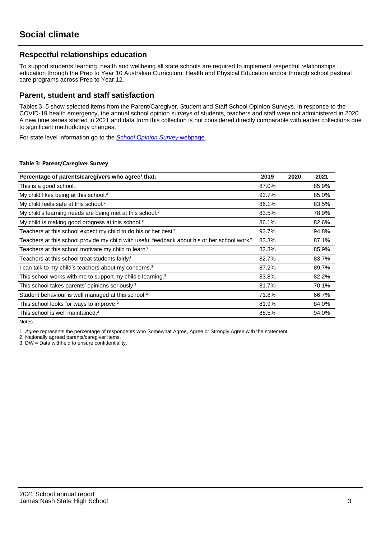# **Respectful relationships education**

To support students' learning, health and wellbeing all state schools are required to implement respectful relationships education through the Prep to Year 10 Australian Curriculum: Health and Physical Education and/or through school pastoral care programs across Prep to Year 12.

## **Parent, student and staff satisfaction**

Tables 3–5 show selected items from the Parent/Caregiver, Student and Staff School Opinion Surveys. In response to the COVID-19 health emergency, the annual school opinion surveys of students, teachers and staff were not administered in 2020. A new time series started in 2021 and data from this collection is not considered directly comparable with earlier collections due to significant methodology changes.

For state level information go to the **[School Opinion Survey](https://qed.qld.gov.au/publications/reports/statistics/schooling/schools/schoolopinionsurvey) webpage**.

### **Table 3: Parent/Caregiver Survey**

| Percentage of parents/caregivers who agree <sup>1</sup> that:                                            | 2019  | 2020 | 2021  |
|----------------------------------------------------------------------------------------------------------|-------|------|-------|
| This is a good school.                                                                                   | 87.0% |      | 85.9% |
| My child likes being at this school. <sup>2</sup>                                                        | 93.7% |      | 85.0% |
| My child feels safe at this school. <sup>2</sup>                                                         | 86.1% |      | 83.5% |
| My child's learning needs are being met at this school. <sup>2</sup>                                     | 83.5% |      | 78.9% |
| My child is making good progress at this school. <sup>2</sup>                                            | 86.1% |      | 82.6% |
| Teachers at this school expect my child to do his or her best. <sup>2</sup>                              | 93.7% |      | 94.8% |
| Teachers at this school provide my child with useful feedback about his or her school work. <sup>2</sup> | 83.3% |      | 87.1% |
| Teachers at this school motivate my child to learn. <sup>2</sup>                                         | 82.3% |      | 85.9% |
| Teachers at this school treat students fairly. <sup>2</sup>                                              | 82.7% |      | 83.7% |
| I can talk to my child's teachers about my concerns. <sup>2</sup>                                        | 87.2% |      | 89.7% |
| This school works with me to support my child's learning. <sup>2</sup>                                   | 83.8% |      | 82.2% |
| This school takes parents' opinions seriously. <sup>2</sup>                                              | 81.7% |      | 70.1% |
| Student behaviour is well managed at this school. <sup>2</sup>                                           | 71.8% |      | 66.7% |
| This school looks for ways to improve. <sup>2</sup>                                                      | 81.9% |      | 84.0% |
| This school is well maintained. <sup>2</sup>                                                             | 88.5% |      | 94.0% |

Notes

1. Agree represents the percentage of respondents who Somewhat Agree, Agree or Strongly Agree with the statement.

2. Nationally agreed parents/caregiver items.

3. DW = Data withheld to ensure confidentiality.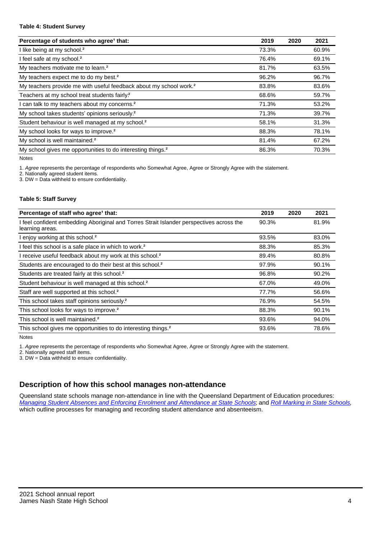#### **Table 4: Student Survey**

| Percentage of students who agree <sup>1</sup> that:                            | 2019  | 2020 | 2021  |
|--------------------------------------------------------------------------------|-------|------|-------|
| I like being at my school. <sup>2</sup>                                        | 73.3% |      | 60.9% |
| I feel safe at my school. <sup>2</sup>                                         | 76.4% |      | 69.1% |
| My teachers motivate me to learn. <sup>2</sup>                                 | 81.7% |      | 63.5% |
| My teachers expect me to do my best. <sup>2</sup>                              | 96.2% |      | 96.7% |
| My teachers provide me with useful feedback about my school work. <sup>2</sup> | 83.8% |      | 83.6% |
| Teachers at my school treat students fairly?                                   | 68.6% |      | 59.7% |
| can talk to my teachers about my concerns. <sup>2</sup>                        | 71.3% |      | 53.2% |
| My school takes students' opinions seriously. <sup>2</sup>                     | 71.3% |      | 39.7% |
| Student behaviour is well managed at my school. <sup>2</sup>                   | 58.1% |      | 31.3% |
| My school looks for ways to improve. <sup>2</sup>                              | 88.3% |      | 78.1% |
| My school is well maintained. <sup>2</sup>                                     | 81.4% |      | 67.2% |
| My school gives me opportunities to do interesting things. <sup>2</sup>        | 86.3% |      | 70.3% |

Notes

1. Agree represents the percentage of respondents who Somewhat Agree, Agree or Strongly Agree with the statement.

2. Nationally agreed student items.

3. DW = Data withheld to ensure confidentiality.

### **Table 5: Staff Survey**

| Percentage of staff who agree <sup>1</sup> that:                                                            | 2019  | 2020 | 2021  |
|-------------------------------------------------------------------------------------------------------------|-------|------|-------|
| I feel confident embedding Aboriginal and Torres Strait Islander perspectives across the<br>learning areas. | 90.3% |      | 81.9% |
| I enjoy working at this school. <sup>2</sup>                                                                | 93.5% |      | 83.0% |
| I feel this school is a safe place in which to work. <sup>2</sup>                                           | 88.3% |      | 85.3% |
| I receive useful feedback about my work at this school. <sup>2</sup>                                        | 89.4% |      | 80.8% |
| Students are encouraged to do their best at this school. <sup>2</sup>                                       | 97.9% |      | 90.1% |
| Students are treated fairly at this school. <sup>2</sup>                                                    | 96.8% |      | 90.2% |
| Student behaviour is well managed at this school. <sup>2</sup>                                              | 67.0% |      | 49.0% |
| Staff are well supported at this school. <sup>2</sup>                                                       | 77.7% |      | 56.6% |
| This school takes staff opinions seriously. <sup>2</sup>                                                    | 76.9% |      | 54.5% |
| This school looks for ways to improve. <sup>2</sup>                                                         | 88.3% |      | 90.1% |
| This school is well maintained. <sup>2</sup>                                                                | 93.6% |      | 94.0% |
| This school gives me opportunities to do interesting things. <sup>2</sup>                                   | 93.6% |      | 78.6% |

Notes

1. Agree represents the percentage of respondents who Somewhat Agree, Agree or Strongly Agree with the statement.

2. Nationally agreed staff items.

3. DW = Data withheld to ensure confidentiality.

# **Description of how this school manages non-attendance**

Queensland state schools manage non-attendance in line with the Queensland Department of Education procedures: [Managing Student Absences and Enforcing Enrolment and Attendance at State Schools](https://ppr.qed.qld.gov.au/pp/managing-student-absences-and-enforcing-enrolment-and-attendance-at-state-schools-procedure); and [Roll Marking in State Schools](https://ppr.qed.qld.gov.au/pp/roll-marking-in-state-schools-procedure), which outline processes for managing and recording student attendance and absenteeism.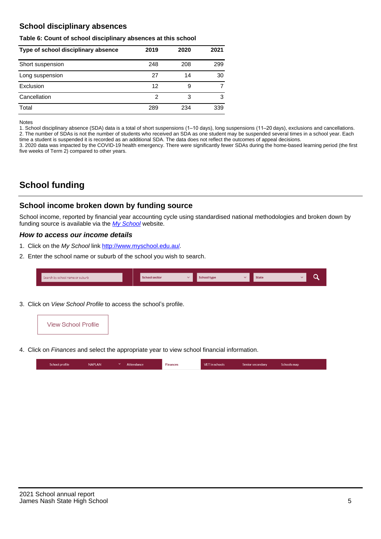# **School disciplinary absences**

### **Table 6: Count of school disciplinary absences at this school**

| Type of school disciplinary absence | 2019 | 2020 | 2021 |
|-------------------------------------|------|------|------|
| Short suspension                    | 248  | 208  | 299  |
| Long suspension                     | 27   | 14   | 30   |
| Exclusion                           | 12   | 9    |      |
| Cancellation                        | 2    | 3    | 3    |
| Total                               | 289  | 234  | 339  |

#### Notes

1. School disciplinary absence (SDA) data is a total of short suspensions (1–10 days), long suspensions (11–20 days), exclusions and cancellations. 2. The number of SDAs is not the number of students who received an SDA as one student may be suspended several times in a school year. Each time a student is suspended it is recorded as an additional SDA. The data does not reflect the outcomes of appeal decisions.

3. 2020 data was impacted by the COVID-19 health emergency. There were significantly fewer SDAs during the home-based learning period (the first five weeks of Term 2) compared to other years.

# **School funding**

## **School income broken down by funding source**

School income, reported by financial year accounting cycle using standardised national methodologies and broken down by funding source is available via the  $My$  School website.

## **How to access our income details**

- 1. Click on the My School link [http://www.myschool.edu.au/.](http://www.myschool.edu.au/)
- 2. Enter the school name or suburb of the school you wish to search.

| Search by school name or suburb | <b>School sector</b> | <b>School type</b> | <b>State</b> | ∽ |
|---------------------------------|----------------------|--------------------|--------------|---|
|                                 |                      |                    |              |   |

3. Click on View School Profile to access the school's profile.



4. Click on Finances and select the appropriate year to view school financial information.

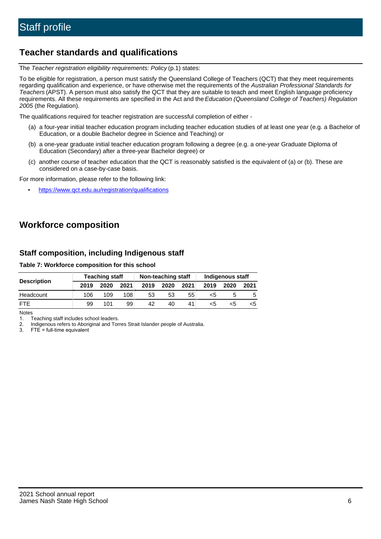# **Teacher standards and qualifications**

The Teacher registration eligibility requirements: Policy (p.1) states:

To be eligible for registration, a person must satisfy the Queensland College of Teachers (QCT) that they meet requirements regarding qualification and experience, or have otherwise met the requirements of the Australian Professional Standards for Teachers (APST). A person must also satisfy the QCT that they are suitable to teach and meet English language proficiency requirements. All these requirements are specified in the Act and the Education (Queensland College of Teachers) Regulation 2005 (the Regulation).

The qualifications required for teacher registration are successful completion of either -

- (a) a four-year initial teacher education program including teacher education studies of at least one year (e.g. a Bachelor of Education, or a double Bachelor degree in Science and Teaching) or
- (b) a one-year graduate initial teacher education program following a degree (e.g. a one-year Graduate Diploma of Education (Secondary) after a three-year Bachelor degree) or
- (c) another course of teacher education that the QCT is reasonably satisfied is the equivalent of (a) or (b). These are considered on a case-by-case basis.

For more information, please refer to the following link:

• <https://www.qct.edu.au/registration/qualifications>

# **Workforce composition**

# **Staff composition, including Indigenous staff**

## **Table 7: Workforce composition for this school**

|                    | <b>Teaching staff</b> |      |      | Non-teaching staff |      |      | Indigenous staff |      |      |
|--------------------|-----------------------|------|------|--------------------|------|------|------------------|------|------|
| <b>Description</b> | 2019                  | 2020 | 2021 | 2019               | 2020 | 2021 | 2019             | 2020 | 2021 |
| Headcount          | 106                   | 109  | 108  | 53                 | 53   | 55   | <5               |      |      |
| <b>FTF</b>         | 99                    | 101  | 99   | 42                 | 40   | 41   | <5               | ה>   | ה>   |

Notes

1. Teaching staff includes school leaders.

2. Indigenous refers to Aboriginal and Torres Strait Islander people of Australia.

3. FTE = full-time equivalent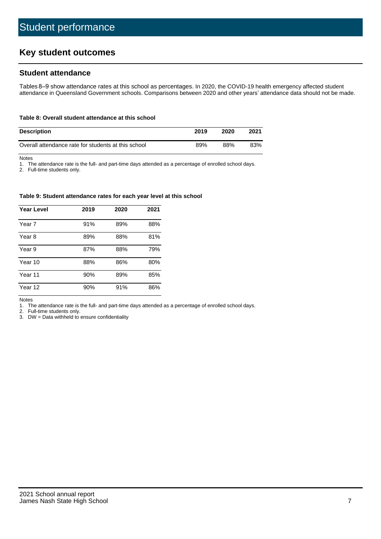# **Key student outcomes**

# **Student attendance**

Tables 8–9 show attendance rates at this school as percentages. In 2020, the COVID-19 health emergency affected student attendance in Queensland Government schools. Comparisons between 2020 and other years' attendance data should not be made.

#### **Table 8: Overall student attendance at this school**

| <b>Description</b>                                  | 2019 | 2020 | 2021 |
|-----------------------------------------------------|------|------|------|
| Overall attendance rate for students at this school | 89%  | 88%  | 83%  |

Notes

1. The attendance rate is the full- and part-time days attended as a percentage of enrolled school days.

2. Full-time students only.

#### **Table 9: Student attendance rates for each year level at this school**

| <b>Year Level</b> | 2019 | 2020 | 2021 |
|-------------------|------|------|------|
| Year 7            | 91%  | 89%  | 88%  |
| Year 8            | 89%  | 88%  | 81%  |
| Year 9            | 87%  | 88%  | 79%  |
| Year 10           | 88%  | 86%  | 80%  |
| Year 11           | 90%  | 89%  | 85%  |
| Year 12           | 90%  | 91%  | 86%  |

Notes

1. The attendance rate is the full- and part-time days attended as a percentage of enrolled school days.

2. Full-time students only.

3. DW = Data withheld to ensure confidentiality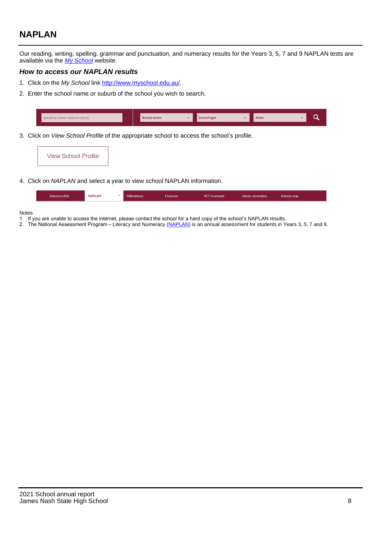# **NAPLAN**

Our reading, writing, spelling, grammar and punctuation, and numeracy results for the Years 3, 5, 7 and 9 NAPLAN tests are available via the [My School](http://www.myschool.edu.au/) website.

## **How to access our NAPLAN results**

- 1. Click on the My School link [http://www.myschool.edu.au/.](http://www.myschool.edu.au/)
- 2. Enter the school name or suburb of the school you wish to search.

|  | Search by school name or suburb                                                           | <b>School sector</b> |  | <b>State</b> |  |
|--|-------------------------------------------------------------------------------------------|----------------------|--|--------------|--|
|  | 3. Click on View School Profile of the appropriate school to access the school's profile. |                      |  |              |  |



4. Click on NAPLAN and select a year to view school NAPLAN information.

|  | School profile | <b>NAPLAN</b> | $\sim$ 1 | Attendance | Finances | <b>VET</b> in schools | Senior secondary | Schools map |  |
|--|----------------|---------------|----------|------------|----------|-----------------------|------------------|-------------|--|
|--|----------------|---------------|----------|------------|----------|-----------------------|------------------|-------------|--|

#### Notes

- 1. If you are unable to access the internet, please contact the school for a hard copy of the school's NAPLAN results.
- 2. The National Assessment Program Literacy and Numeracy [\(NAPLAN](http://www.nap.edu.au/naplan)) is an annual assessment for students in Years 3, 5, 7 and 9.